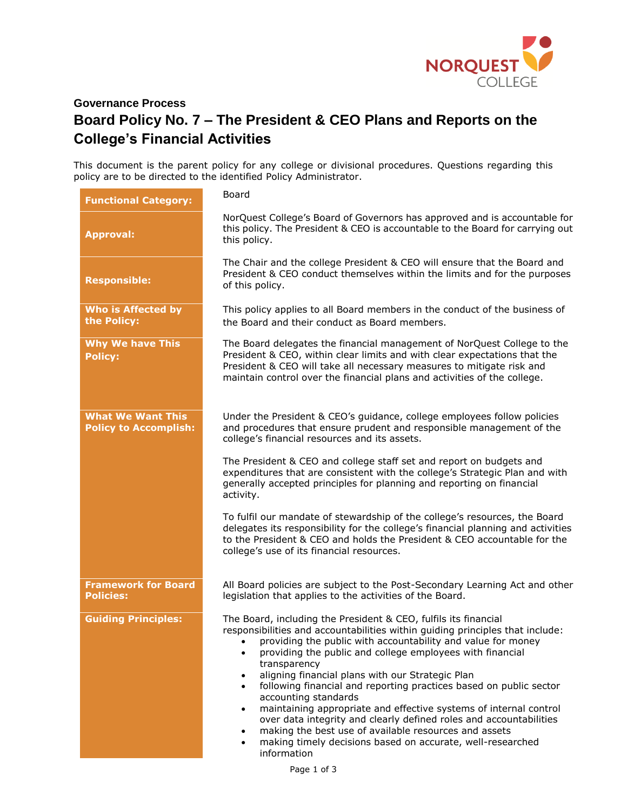

## **Governance Process Board Policy No. 7 – The President & CEO Plans and Reports on the College's Financial Activities**

This document is the parent policy for any college or divisional procedures. Questions regarding this policy are to be directed to the identified Policy Administrator.

| <b>Functional Category:</b>                              | Board                                                                                                                                                                                                                                                                                                                                                                                                                                                                                                                                                                                                                                                                                                                                                                                                                |
|----------------------------------------------------------|----------------------------------------------------------------------------------------------------------------------------------------------------------------------------------------------------------------------------------------------------------------------------------------------------------------------------------------------------------------------------------------------------------------------------------------------------------------------------------------------------------------------------------------------------------------------------------------------------------------------------------------------------------------------------------------------------------------------------------------------------------------------------------------------------------------------|
| <b>Approval:</b>                                         | NorQuest College's Board of Governors has approved and is accountable for<br>this policy. The President & CEO is accountable to the Board for carrying out<br>this policy.                                                                                                                                                                                                                                                                                                                                                                                                                                                                                                                                                                                                                                           |
| <b>Responsible:</b>                                      | The Chair and the college President & CEO will ensure that the Board and<br>President & CEO conduct themselves within the limits and for the purposes<br>of this policy.                                                                                                                                                                                                                                                                                                                                                                                                                                                                                                                                                                                                                                             |
| <b>Who is Affected by</b><br>the Policy:                 | This policy applies to all Board members in the conduct of the business of<br>the Board and their conduct as Board members.                                                                                                                                                                                                                                                                                                                                                                                                                                                                                                                                                                                                                                                                                          |
| <b>Why We have This</b><br><b>Policy:</b>                | The Board delegates the financial management of NorQuest College to the<br>President & CEO, within clear limits and with clear expectations that the<br>President & CEO will take all necessary measures to mitigate risk and<br>maintain control over the financial plans and activities of the college.                                                                                                                                                                                                                                                                                                                                                                                                                                                                                                            |
| <b>What We Want This</b><br><b>Policy to Accomplish:</b> | Under the President & CEO's guidance, college employees follow policies<br>and procedures that ensure prudent and responsible management of the<br>college's financial resources and its assets.                                                                                                                                                                                                                                                                                                                                                                                                                                                                                                                                                                                                                     |
|                                                          | The President & CEO and college staff set and report on budgets and<br>expenditures that are consistent with the college's Strategic Plan and with<br>generally accepted principles for planning and reporting on financial<br>activity.                                                                                                                                                                                                                                                                                                                                                                                                                                                                                                                                                                             |
|                                                          | To fulfil our mandate of stewardship of the college's resources, the Board<br>delegates its responsibility for the college's financial planning and activities<br>to the President & CEO and holds the President & CEO accountable for the<br>college's use of its financial resources.                                                                                                                                                                                                                                                                                                                                                                                                                                                                                                                              |
| <b>Framework for Board</b><br><b>Policies:</b>           | All Board policies are subject to the Post-Secondary Learning Act and other<br>legislation that applies to the activities of the Board.                                                                                                                                                                                                                                                                                                                                                                                                                                                                                                                                                                                                                                                                              |
| <b>Guiding Principles:</b>                               | The Board, including the President & CEO, fulfils its financial<br>responsibilities and accountabilities within guiding principles that include:<br>providing the public with accountability and value for money<br>providing the public and college employees with financial<br>$\bullet$<br>transparency<br>aligning financial plans with our Strategic Plan<br>following financial and reporting practices based on public sector<br>$\bullet$<br>accounting standards<br>maintaining appropriate and effective systems of internal control<br>$\bullet$<br>over data integrity and clearly defined roles and accountabilities<br>making the best use of available resources and assets<br>$\bullet$<br>making timely decisions based on accurate, well-researched<br>$\bullet$<br>information<br>$D = 4 + 1 + 5$ |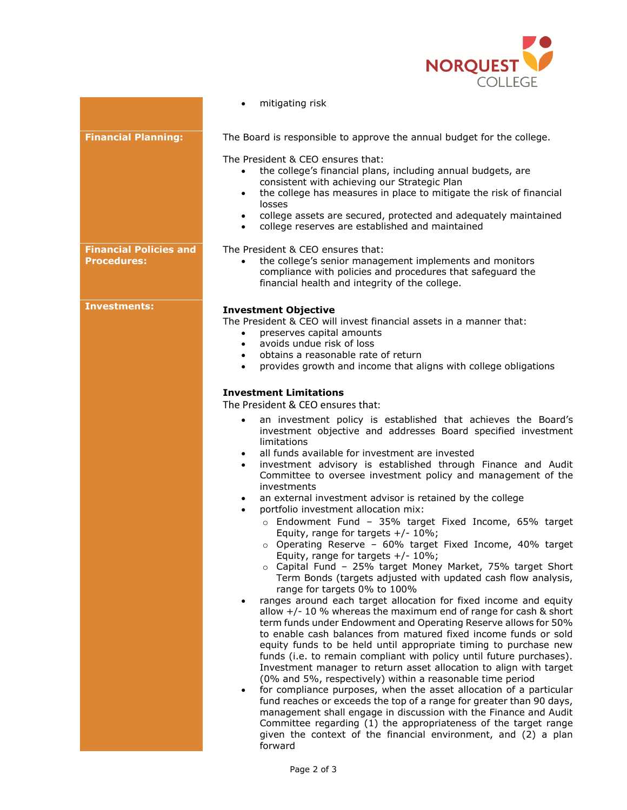

|                                                     | mitigating risk                                                                                                                                                                                                                                                                                                                                                                                                                                                                                                                                                                                                                                                                                                                                                                                                                                                                                                                                                                                                                                                                                                                                                                                                                                                                                                                                                                                                         |
|-----------------------------------------------------|-------------------------------------------------------------------------------------------------------------------------------------------------------------------------------------------------------------------------------------------------------------------------------------------------------------------------------------------------------------------------------------------------------------------------------------------------------------------------------------------------------------------------------------------------------------------------------------------------------------------------------------------------------------------------------------------------------------------------------------------------------------------------------------------------------------------------------------------------------------------------------------------------------------------------------------------------------------------------------------------------------------------------------------------------------------------------------------------------------------------------------------------------------------------------------------------------------------------------------------------------------------------------------------------------------------------------------------------------------------------------------------------------------------------------|
| <b>Financial Planning:</b>                          | The Board is responsible to approve the annual budget for the college.                                                                                                                                                                                                                                                                                                                                                                                                                                                                                                                                                                                                                                                                                                                                                                                                                                                                                                                                                                                                                                                                                                                                                                                                                                                                                                                                                  |
|                                                     | The President & CEO ensures that:<br>the college's financial plans, including annual budgets, are<br>$\bullet$<br>consistent with achieving our Strategic Plan<br>the college has measures in place to mitigate the risk of financial<br>$\bullet$<br>losses<br>college assets are secured, protected and adequately maintained<br>college reserves are established and maintained                                                                                                                                                                                                                                                                                                                                                                                                                                                                                                                                                                                                                                                                                                                                                                                                                                                                                                                                                                                                                                      |
| <b>Financial Policies and</b><br><b>Procedures:</b> | The President & CEO ensures that:<br>the college's senior management implements and monitors<br>compliance with policies and procedures that safeguard the<br>financial health and integrity of the college.                                                                                                                                                                                                                                                                                                                                                                                                                                                                                                                                                                                                                                                                                                                                                                                                                                                                                                                                                                                                                                                                                                                                                                                                            |
| <b>Investments:</b>                                 | <b>Investment Objective</b><br>The President & CEO will invest financial assets in a manner that:<br>preserves capital amounts<br>$\bullet$<br>avoids undue risk of loss<br>$\bullet$<br>obtains a reasonable rate of return<br>provides growth and income that aligns with college obligations<br><b>Investment Limitations</b>                                                                                                                                                                                                                                                                                                                                                                                                                                                                                                                                                                                                                                                                                                                                                                                                                                                                                                                                                                                                                                                                                        |
|                                                     | an investment policy is established that achieves the Board's<br>$\bullet$<br>investment objective and addresses Board specified investment<br>limitations<br>all funds available for investment are invested<br>investment advisory is established through Finance and Audit<br>$\bullet$<br>Committee to oversee investment policy and management of the<br>investments<br>an external investment advisor is retained by the college<br>portfolio investment allocation mix:<br>o Endowment Fund - 35% target Fixed Income, 65% target<br>Equity, range for targets $+/- 10\%$ ;<br>o Operating Reserve - 60% target Fixed Income, 40% target<br>Equity, range for targets $+/- 10\%$ ;<br>o Capital Fund - 25% target Money Market, 75% target Short<br>Term Bonds (targets adjusted with updated cash flow analysis,<br>range for targets 0% to 100%<br>ranges around each target allocation for fixed income and equity<br>allow $+/- 10$ % whereas the maximum end of range for cash & short<br>term funds under Endowment and Operating Reserve allows for 50%<br>to enable cash balances from matured fixed income funds or sold<br>equity funds to be held until appropriate timing to purchase new<br>funds (i.e. to remain compliant with policy until future purchases).<br>Investment manager to return asset allocation to align with target<br>(0% and 5%, respectively) within a reasonable time period |
|                                                     | for compliance purposes, when the asset allocation of a particular<br>fund reaches or exceeds the top of a range for greater than 90 days,<br>management shall engage in discussion with the Finance and Audit<br>Committee regarding (1) the appropriateness of the target range<br>given the context of the financial environment, and (2) a plan<br>forward                                                                                                                                                                                                                                                                                                                                                                                                                                                                                                                                                                                                                                                                                                                                                                                                                                                                                                                                                                                                                                                          |